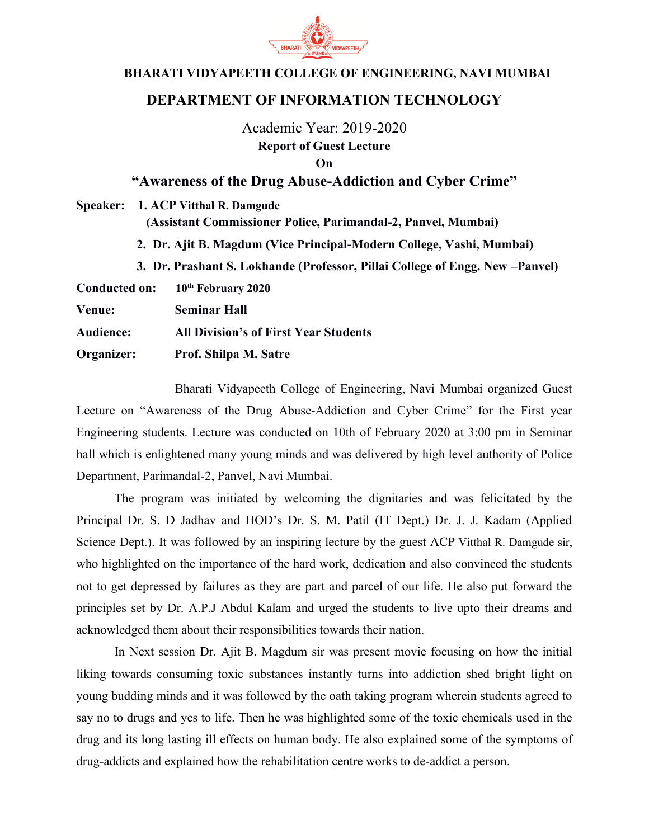

## **BHARATI VIDYAPEETH COLLEGE OF ENGINEERING, NAVI MUMBAI**

## **DEPARTMENT OF INFORMATION TECHNOLOGY**

Academic Year: 2019-2020 **Report of Guest Lecture On**

## **"Awareness of the Drug Abuse-Addiction and Cyber Crime"**

|                  | Speaker: 1. ACP Vitthal R. Damgude<br>(Assistant Commissioner Police, Parimandal-2, Panvel, Mumbai)<br>2. Dr. Ajit B. Magdum (Vice Principal-Modern College, Vashi, Mumbai) |                                              |
|------------------|-----------------------------------------------------------------------------------------------------------------------------------------------------------------------------|----------------------------------------------|
|                  |                                                                                                                                                                             |                                              |
|                  | <b>Conducted on:</b>                                                                                                                                                        |                                              |
| <b>Venue:</b>    |                                                                                                                                                                             | <b>Seminar Hall</b>                          |
| <b>Audience:</b> |                                                                                                                                                                             | <b>All Division's of First Year Students</b> |
| Organizer:       |                                                                                                                                                                             | Prof. Shilpa M. Satre                        |

 Bharati Vidyapeeth College of Engineering, Navi Mumbai organized Guest Lecture on "Awareness of the Drug Abuse-Addiction and Cyber Crime" for the First year Engineering students. Lecture was conducted on 10th of February 2020 at 3:00 pm in Seminar hall which is enlightened many young minds and was delivered by high level authority of Police Department, Parimandal-2, Panvel, Navi Mumbai.

The program was initiated by welcoming the dignitaries and was felicitated by the Principal Dr. S. D Jadhav and HOD's Dr. S. M. Patil (IT Dept.) Dr. J. J. Kadam (Applied Science Dept.). It was followed by an inspiring lecture by the guest ACP Vitthal R. Damgude sir, who highlighted on the importance of the hard work, dedication and also convinced the students not to get depressed by failures as they are part and parcel of our life. He also put forward the principles set by Dr. A.P.J Abdul Kalam and urged the students to live upto their dreams and acknowledged them about their responsibilities towards their nation.

In Next session Dr. Ajit B. Magdum sir was present movie focusing on how the initial liking towards consuming toxic substances instantly turns into addiction shed bright light on young budding minds and it was followed by the oath taking program wherein students agreed to say no to drugs and yes to life. Then he was highlighted some of the toxic chemicals used in the drug and its long lasting ill effects on human body. He also explained some of the symptoms of drug-addicts and explained how the rehabilitation centre works to de-addict a person.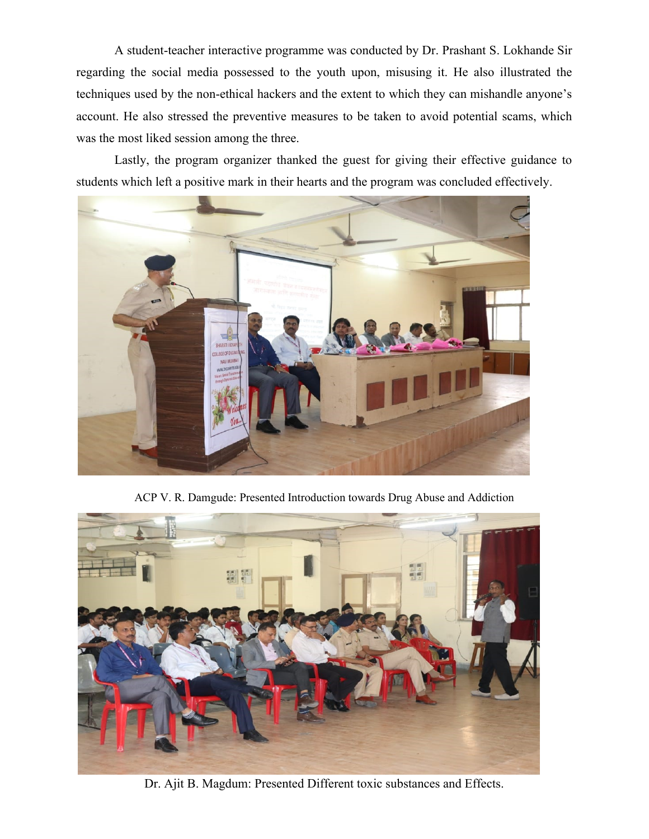A student-teacher interactive programme was conducted by Dr. Prashant S. Lokhande Sir regarding the social media possessed to the youth upon, misusing it. He also illustrated the techniques used by the non-ethical hackers and the extent to which they can mishandle anyone's account. He also stressed the preventive measures to be taken to avoid potential scams, which was the most liked session among the three.

Lastly, the program organizer thanked the guest for giving their effective guidance to students which left a positive mark in their hearts and the program was concluded effectively.



ACP V. R. Damgude: Presented Introduction towards Drug Abuse and Addiction



Dr. Ajit B. Magdum: Presented Different toxic substances and Effects.